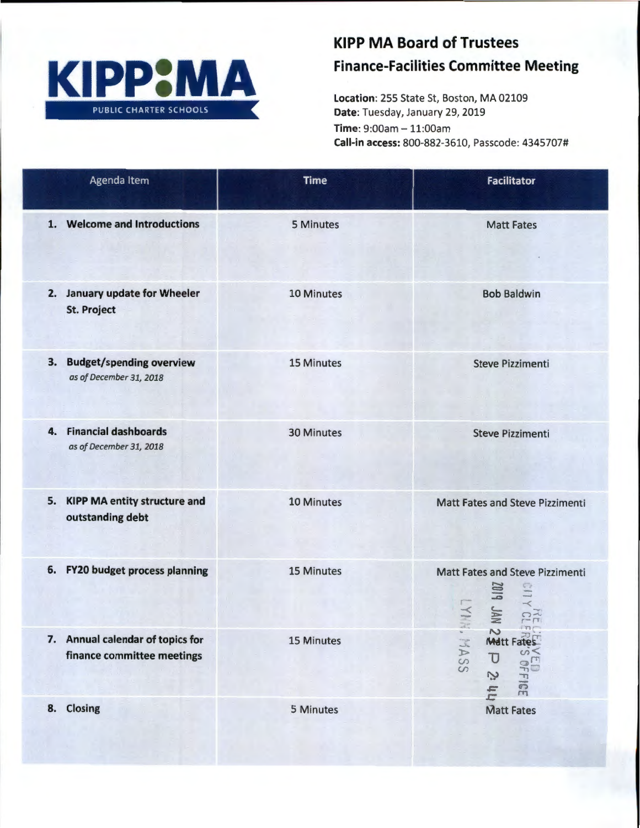

## **KIPP MA Board of Trustees Finance-Facilities Committee Meeting**

Location: 255 State St, Boston, MA 02109 Date: Tuesday, January 29, 2019 Time: 9:00am - 11:00am Call-in access: 800-882-3610, Passcode: 4345707#

| Agenda Item                                                      | <b>Time</b> | <b>Facilitator</b>                                                                                                    |
|------------------------------------------------------------------|-------------|-----------------------------------------------------------------------------------------------------------------------|
| 1. Welcome and Introductions                                     | 5 Minutes   | <b>Matt Fates</b>                                                                                                     |
| 2. January update for Wheeler<br><b>St. Project</b>              | 10 Minutes  | <b>Bob Baldwin</b>                                                                                                    |
| <b>Budget/spending overview</b><br>3.<br>as of December 31, 2018 | 15 Minutes  | <b>Steve Pizzimenti</b>                                                                                               |
| 4. Financial dashboards<br>as of December 31, 2018               | 30 Minutes  | <b>Steve Pizzimenti</b>                                                                                               |
| 5. KIPP MA entity structure and<br>outstanding debt              | 10 Minutes  | <b>Matt Fates and Steve Pizzimenti</b>                                                                                |
| 6. FY20 budget process planning                                  | 15 Minutes  | <b>Matt Fates and Steve Pizzimenti</b><br>VAL PIDS<br><b>LYNN</b><br><b>HE</b><br>$m -$                               |
| 7. Annual calendar of topics for<br>finance committee meetings   | 15 Minutes  | $\sim$<br>Matt Fates<br><b>HASS</b><br>$\Omega$<br>$\overline{U}$<br>$\circ$<br>T<br>Z<br>᠊᠇<br>$\overline{33}$<br>hh |
| 8. Closing                                                       | 5 Minutes   | <b>Matt Fates</b>                                                                                                     |